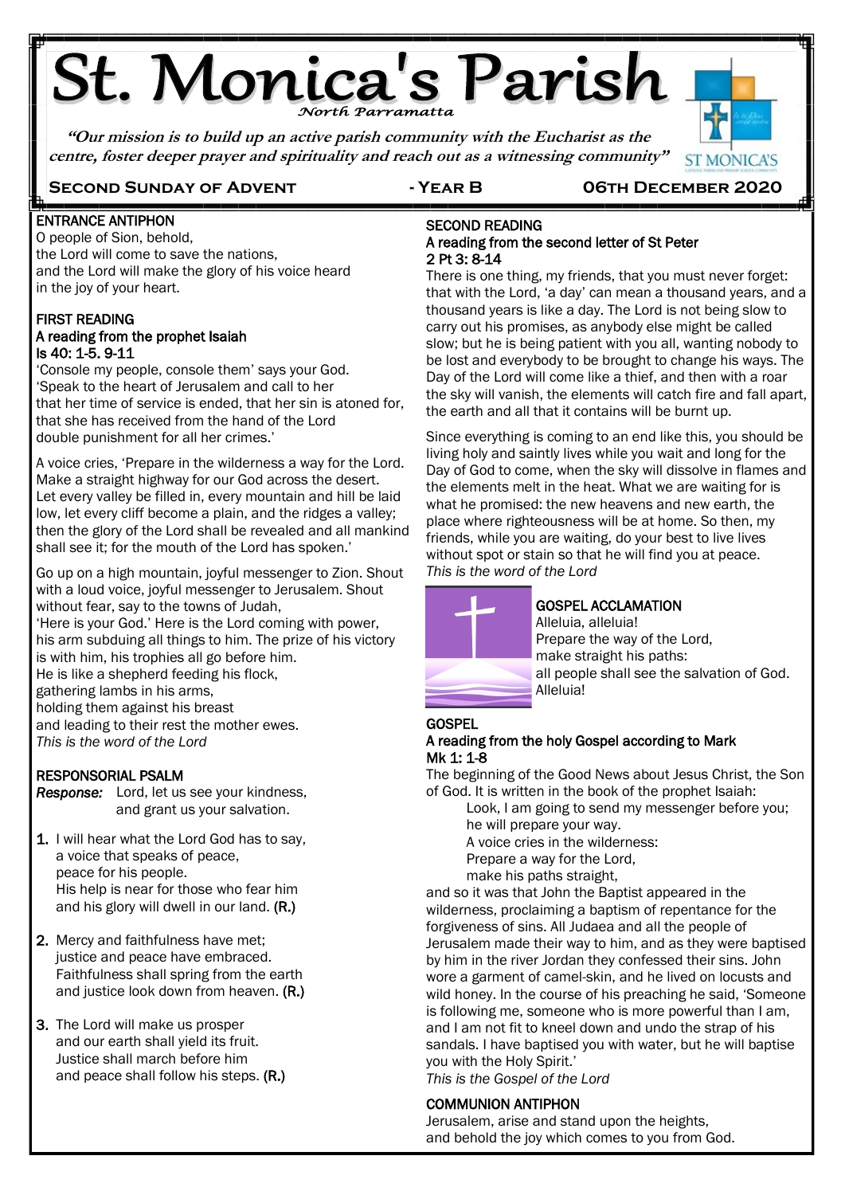# St. Monica's Parish

**"Our mission is to build up an active parish community with the Eucharist as the centre, foster deeper prayer and spirituality and reach out as a witnessing community"**

## **Second Sunday of Advent - Year B 06th December 2020**

֖֚֬֕

**ST MONICA'S** 

#### E ENTRANCE ANTIPHON

O people of Sion, behold, the Lord will come to save the nations, and the Lord will make the glory of his voice heard in the joy of your heart.

#### FIRST READING A reading from the prophet Isaiah Is 40: 1-5. 9-11

'Console my people, console them' says your God. 'Speak to the heart of Jerusalem and call to her that her time of service is ended, that her sin is atoned for, that she has received from the hand of the Lord double punishment for all her crimes.'

A voice cries, 'Prepare in the wilderness a way for the Lord. Make a straight highway for our God across the desert. Let every valley be filled in, every mountain and hill be laid low, let every cliff become a plain, and the ridges a valley; then the glory of the Lord shall be revealed and all mankind shall see it; for the mouth of the Lord has spoken.'

Go up on a high mountain, joyful messenger to Zion. Shout with a loud voice, joyful messenger to Jerusalem. Shout without fear, say to the towns of Judah, 'Here is your God.' Here is the Lord coming with power, his arm subduing all things to him. The prize of his victory is with him, his trophies all go before him. He is like a shepherd feeding his flock, gathering lambs in his arms, holding them against his breast and leading to their rest the mother ewes. *This is the word of the Lord*

### RESPONSORIAL PSALM

*Response:* Lord, let us see your kindness, and grant us your salvation.

- 1. I will hear what the Lord God has to say, a voice that speaks of peace, peace for his people. His help is near for those who fear him and his glory will dwell in our land. (R.)
- 2. Mercy and faithfulness have met; justice and peace have embraced. Faithfulness shall spring from the earth and justice look down from heaven. (R.)
- 3. The Lord will make us prosper and our earth shall yield its fruit. Justice shall march before him and peace shall follow his steps. (R.)

#### SECOND READING A reading from the second letter of St Peter 2 Pt 3: 8-14

There is one thing, my friends, that you must never forget: that with the Lord, 'a day' can mean a thousand years, and a thousand years is like a day. The Lord is not being slow to carry out his promises, as anybody else might be called slow; but he is being patient with you all, wanting nobody to be lost and everybody to be brought to change his ways. The Day of the Lord will come like a thief, and then with a roar the sky will vanish, the elements will catch fire and fall apart, the earth and all that it contains will be burnt up.

Since everything is coming to an end like this, you should be living holy and saintly lives while you wait and long for the Day of God to come, when the sky will dissolve in flames and the elements melt in the heat. What we are waiting for is what he promised: the new heavens and new earth, the place where righteousness will be at home. So then, my friends, while you are waiting, do your best to live lives without spot or stain so that he will find you at peace. *This is the word of the Lord*



## GOSPEL ACCLAMATION

Alleluia, alleluia! Prepare the way of the Lord, make straight his paths: all people shall see the salvation of God. Alleluia!

## **GOSPEL**

## A reading from the holy Gospel according to Mark Mk 1: 1-8

The beginning of the Good News about Jesus Christ, the Son of God. It is written in the book of the prophet Isaiah:

Look, I am going to send my messenger before you; he will prepare your way. A voice cries in the wilderness:

Prepare a way for the Lord,

make his paths straight,

and so it was that John the Baptist appeared in the wilderness, proclaiming a baptism of repentance for the forgiveness of sins. All Judaea and all the people of Jerusalem made their way to him, and as they were baptised by him in the river Jordan they confessed their sins. John wore a garment of camel-skin, and he lived on locusts and wild honey. In the course of his preaching he said, 'Someone is following me, someone who is more powerful than I am, and I am not fit to kneel down and undo the strap of his sandals. I have baptised you with water, but he will baptise you with the Holy Spirit.'

*This is the Gospel of the Lord*

## COMMUNION ANTIPHON

Jerusalem, arise and stand upon the heights, and behold the joy which comes to you from God.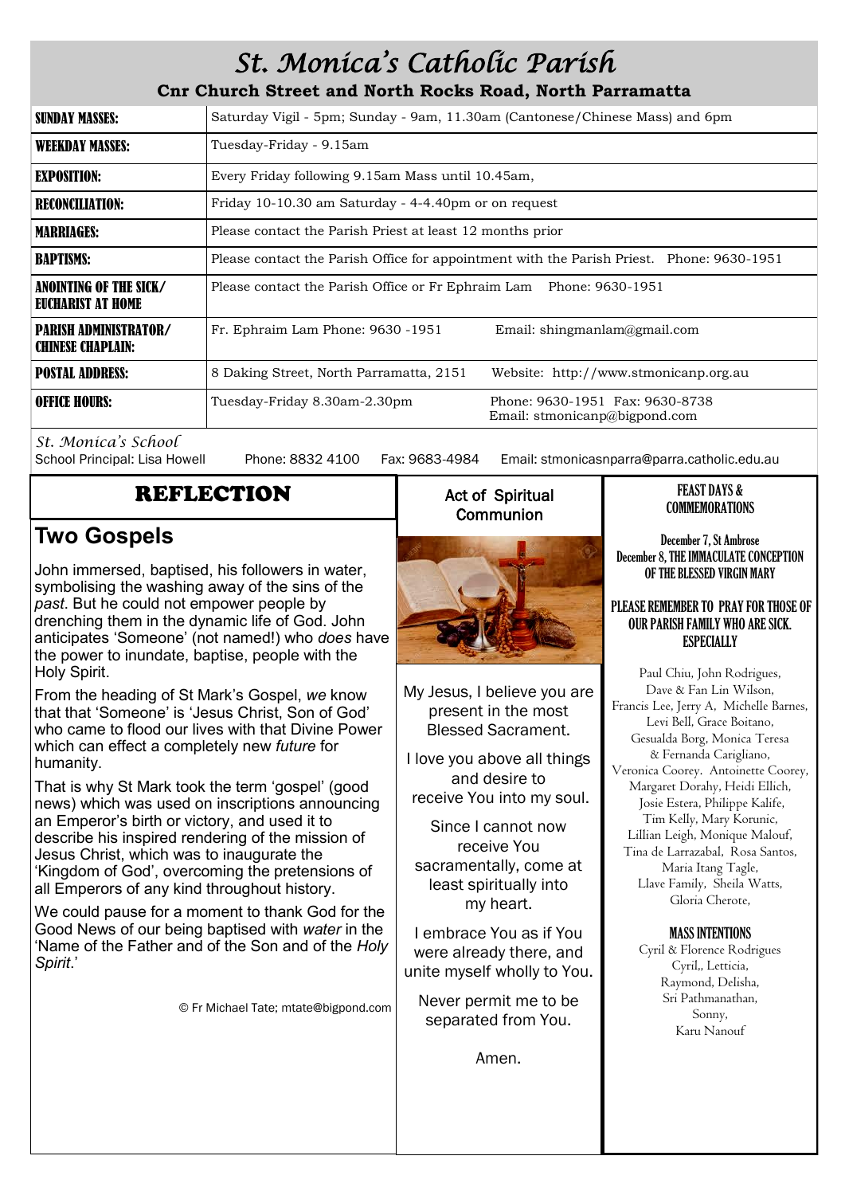## *St. Monica's Catholic Parish*

**Cnr Church Street and North Rocks Road, North Parramatta**

| <b>SUNDAY MASSES:</b>                                    | Saturday Vigil - 5pm; Sunday - 9am, 11.30am (Cantonese/Chinese Mass) and 6pm              |                                                                  |  |
|----------------------------------------------------------|-------------------------------------------------------------------------------------------|------------------------------------------------------------------|--|
| <b>WEEKDAY MASSES:</b>                                   | Tuesday-Friday - 9.15am                                                                   |                                                                  |  |
| <b>EXPOSITION:</b>                                       | Every Friday following 9.15am Mass until 10.45am,                                         |                                                                  |  |
| <b>RECONCILIATION:</b>                                   | Friday 10-10.30 am Saturday - 4-4.40pm or on request                                      |                                                                  |  |
| <b>MARRIAGES:</b>                                        | Please contact the Parish Priest at least 12 months prior                                 |                                                                  |  |
| <b>BAPTISMS:</b>                                         | Please contact the Parish Office for appointment with the Parish Priest. Phone: 9630-1951 |                                                                  |  |
| ANOINTING OF THE SICK/<br>EUCHARIST AT HOME              | Please contact the Parish Office or Fr Ephraim Lam Phone: 9630-1951                       |                                                                  |  |
| <b>PARISH ADMINISTRATOR/</b><br><b>CHINESE CHAPLAIN:</b> | Fr. Ephraim Lam Phone: 9630 -1951                                                         | Email: shingmanlam@gmail.com                                     |  |
| <b>POSTAL ADDRESS:</b>                                   | 8 Daking Street, North Parramatta, 2151                                                   | Website: http://www.stmonicanp.org.au                            |  |
| <b>OFFICE HOURS:</b>                                     | Tuesday-Friday 8.30am-2.30pm                                                              | Phone: 9630-1951 Fax: 9630-8738<br>Email: stmonicanp@bigpond.com |  |

*St. Monica's School*

Phone: 8832 4100 Fax: 9683-4984 Email: stmonicasnparra@parra.catholic.edu.au

## REFLECTION

## **Two Gospels**

John immersed, baptised, his followers in water, symbolising the washing away of the sins of the *past*. But he could not empower people by drenching them in the dynamic life of God. John anticipates 'Someone' (not named!) who *does* have the power to inundate, baptise, people with the Holy Spirit.

From the heading of St Mark's Gospel, *we* know that that 'Someone' is 'Jesus Christ, Son of God' who came to flood our lives with that Divine Power which can effect a completely new *future* for humanity.

That is why St Mark took the term 'gospel' (good news) which was used on inscriptions announcing an Emperor's birth or victory, and used it to describe his inspired rendering of the mission of Jesus Christ, which was to inaugurate the 'Kingdom of God', overcoming the pretensions of all Emperors of any kind throughout history.

We could pause for a moment to thank God for the Good News of our being baptised with *water* in the 'Name of the Father and of the Son and of the *Holy Spirit*.'

© Fr Michael Tate; mtate@bigpond.com

## Act of Spiritual **Communion**



My Jesus, I believe you are present in the most Blessed Sacrament.

I love you above all things and desire to receive You into my soul.

Since I cannot now receive You sacramentally, come at least spiritually into my heart.

I embrace You as if You were already there, and unite myself wholly to You.

Never permit me to be separated from You.

Amen.

### FEAST DAYS & COMMEMORATIONS

December 7, St Ambrose December 8, THE IMMACULATE CONCEPTION OF THE BLESSED VIRGIN MARY

#### PLEASE REMEMBER TO PRAY FOR THOSE OF OUR PARISH FAMILY WHO ARE SICK. ESPECIALLY

Paul Chiu, John Rodrigues, Dave & Fan Lin Wilson, Francis Lee, Jerry A, Michelle Barnes, Levi Bell, Grace Boitano, Gesualda Borg, Monica Teresa & Fernanda Carigliano, Veronica Coorey. Antoinette Coorey, Margaret Dorahy, Heidi Ellich, Josie Estera, Philippe Kalife, Tim Kelly, Mary Korunic, Lillian Leigh, Monique Malouf, Tina de Larrazabal, Rosa Santos, Maria Itang Tagle, Llave Family, Sheila Watts, Gloria Cherote,

## MASS INTENTIONS

Cyril & Florence Rodrigues Cyril,, Letticia, Raymond, Delisha, Sri Pathmanathan, Sonny, Karu Nanouf